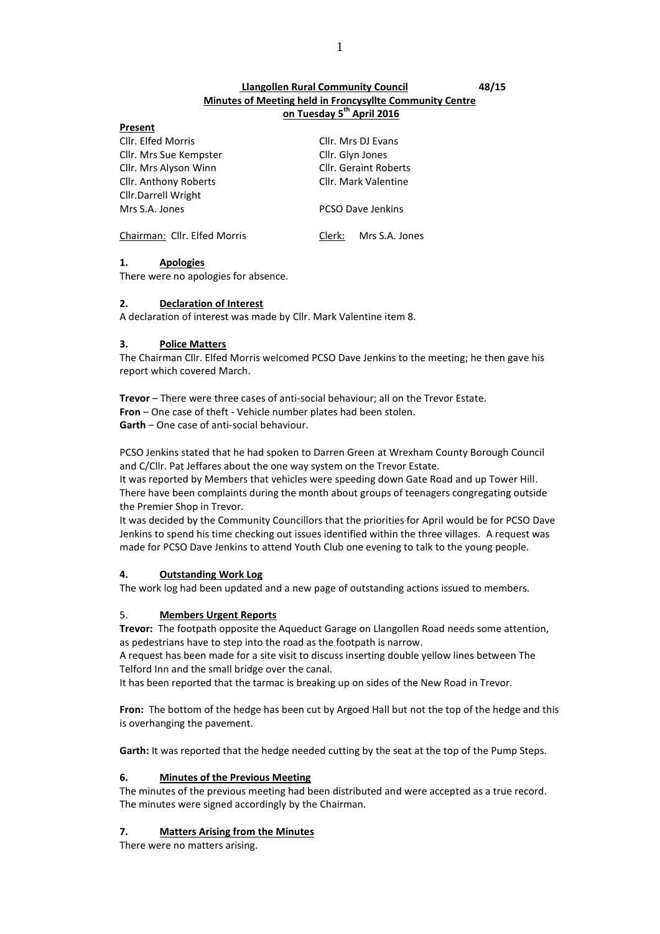# **Llangollen Rural Community Council 48/15 Minutes of Meeting held in Froncysyllte Community Centre on Tuesday 5 th April 2016**

| LIESCIII                     |                              |  |
|------------------------------|------------------------------|--|
| Cllr. Elfed Morris           | Cllr. Mrs DJ Evans           |  |
| Cllr. Mrs Sue Kempster       | Cllr. Glyn Jones             |  |
| Cllr. Mrs Alyson Winn        | <b>Cllr. Geraint Roberts</b> |  |
| Cllr. Anthony Roberts        | Cllr. Mark Valentine         |  |
| Cllr.Darrell Wright          |                              |  |
| Mrs S.A. Jones               | PCSO Dave Jenkins            |  |
| Chairman: Cllr. Elfed Morris | Mrs S.A. Jones<br>Clerk:     |  |

# **1. Apologies**

**Present**

There were no apologies for absence.

#### **2. Declaration of Interest**

A declaration of interest was made by Cllr. Mark Valentine item 8.

# **3. Police Matters**

The Chairman Cllr. Elfed Morris welcomed PCSO Dave Jenkins to the meeting; he then gave his report which covered March.

**Trevor** – There were three cases of anti-social behaviour; all on the Trevor Estate. **Fron** – One case of theft - Vehicle number plates had been stolen. **Garth** – One case of anti-social behaviour.

PCSO Jenkins stated that he had spoken to Darren Green at Wrexham County Borough Council and C/Cllr. Pat Jeffares about the one way system on the Trevor Estate.

It was reported by Members that vehicles were speeding down Gate Road and up Tower Hill. There have been complaints during the month about groups of teenagers congregating outside the Premier Shop in Trevor.

It was decided by the Community Councillors that the priorities for April would be for PCSO Dave Jenkins to spend his time checking out issues identified within the three villages. A request was made for PCSO Dave Jenkins to attend Youth Club one evening to talk to the young people.

# **4. Outstanding Work Log**

The work log had been updated and a new page of outstanding actions issued to members.

# 5. **Members Urgent Reports**

**Trevor:** The footpath opposite the Aqueduct Garage on Llangollen Road needs some attention, as pedestrians have to step into the road as the footpath is narrow.

A request has been made for a site visit to discuss inserting double yellow lines between The Telford Inn and the small bridge over the canal.

It has been reported that the tarmac is breaking up on sides of the New Road in Trevor.

**Fron:** The bottom of the hedge has been cut by Argoed Hall but not the top of the hedge and this is overhanging the pavement.

**Garth:** It was reported that the hedge needed cutting by the seat at the top of the Pump Steps.

#### **6. Minutes of the Previous Meeting**

The minutes of the previous meeting had been distributed and were accepted as a true record. The minutes were signed accordingly by the Chairman.

# **7. Matters Arising from the Minutes**

There were no matters arising.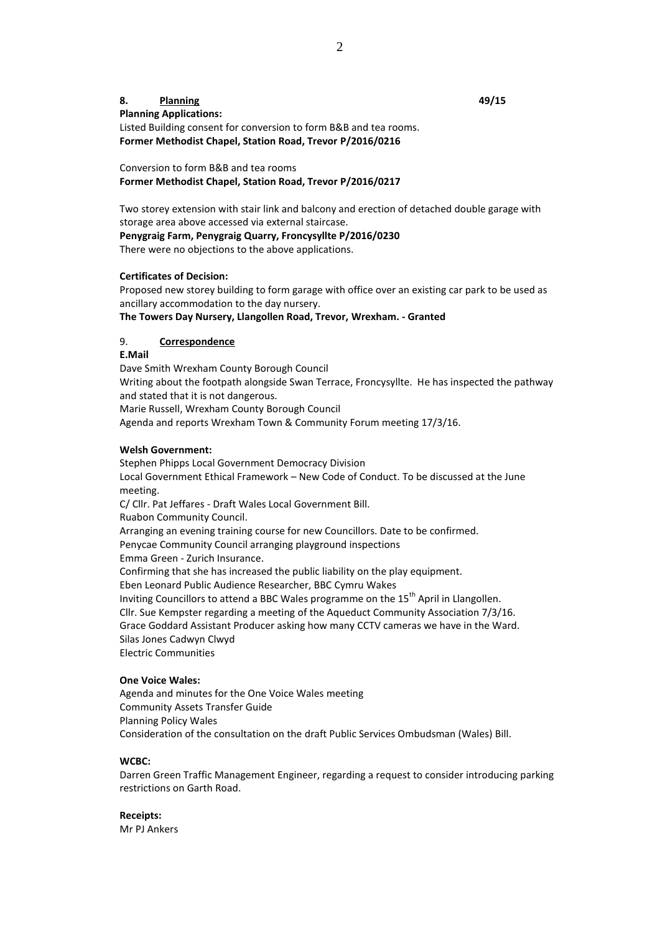# **8. Planning 49/15 Planning Applications:** Listed Building consent for conversion to form B&B and tea rooms. **Former Methodist Chapel, Station Road, Trevor P/2016/0216**

Conversion to form B&B and tea rooms **Former Methodist Chapel, Station Road, Trevor P/2016/0217**

Two storey extension with stair link and balcony and erection of detached double garage with storage area above accessed via external staircase.

**Penygraig Farm, Penygraig Quarry, Froncysyllte P/2016/0230**

There were no objections to the above applications.

# **Certificates of Decision:**

Proposed new storey building to form garage with office over an existing car park to be used as ancillary accommodation to the day nursery.

**The Towers Day Nursery, Llangollen Road, Trevor, Wrexham. - Granted**

# 9. **Correspondence**

**E.Mail**

Dave Smith Wrexham County Borough Council Writing about the footpath alongside Swan Terrace, Froncysyllte. He has inspected the pathway and stated that it is not dangerous. Marie Russell, Wrexham County Borough Council Agenda and reports Wrexham Town & Community Forum meeting 17/3/16.

#### **Welsh Government:**

Stephen Phipps Local Government Democracy Division Local Government Ethical Framework – New Code of Conduct. To be discussed at the June meeting. C/ Cllr. Pat Jeffares - Draft Wales Local Government Bill. Ruabon Community Council. Arranging an evening training course for new Councillors. Date to be confirmed. Penycae Community Council arranging playground inspections Emma Green - Zurich Insurance. Confirming that she has increased the public liability on the play equipment. Eben Leonard Public Audience Researcher, BBC Cymru Wakes Inviting Councillors to attend a BBC Wales programme on the 15<sup>th</sup> April in Llangollen. Cllr. Sue Kempster regarding a meeting of the Aqueduct Community Association 7/3/16. Grace Goddard Assistant Producer asking how many CCTV cameras we have in the Ward. Silas Jones Cadwyn Clwyd Electric Communities

#### **One Voice Wales:**

Agenda and minutes for the One Voice Wales meeting Community Assets Transfer Guide Planning Policy Wales Consideration of the consultation on the draft Public Services Ombudsman (Wales) Bill.

#### **WCBC:**

Darren Green Traffic Management Engineer, regarding a request to consider introducing parking restrictions on Garth Road.

**Receipts:** Mr PJ Ankers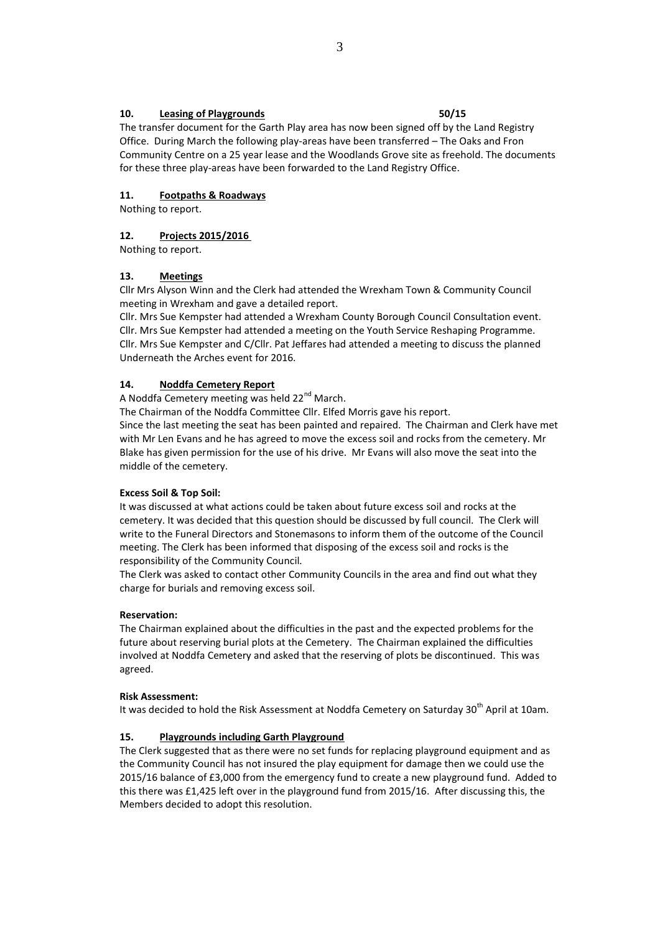### **10. Leasing of Playgrounds 50/15**

The transfer document for the Garth Play area has now been signed off by the Land Registry Office. During March the following play-areas have been transferred – The Oaks and Fron Community Centre on a 25 year lease and the Woodlands Grove site as freehold. The documents for these three play-areas have been forwarded to the Land Registry Office.

# **11. Footpaths & Roadways**

Nothing to report.

# **12. Projects 2015/2016**

Nothing to report.

# **13. Meetings**

Cllr Mrs Alyson Winn and the Clerk had attended the Wrexham Town & Community Council meeting in Wrexham and gave a detailed report.

Cllr. Mrs Sue Kempster had attended a Wrexham County Borough Council Consultation event. Cllr. Mrs Sue Kempster had attended a meeting on the Youth Service Reshaping Programme. Cllr. Mrs Sue Kempster and C/Cllr. Pat Jeffares had attended a meeting to discuss the planned Underneath the Arches event for 2016.

# **14. Noddfa Cemetery Report**

A Noddfa Cemetery meeting was held 22<sup>nd</sup> March.

The Chairman of the Noddfa Committee Cllr. Elfed Morris gave his report.

Since the last meeting the seat has been painted and repaired. The Chairman and Clerk have met with Mr Len Evans and he has agreed to move the excess soil and rocks from the cemetery. Mr Blake has given permission for the use of his drive. Mr Evans will also move the seat into the middle of the cemetery.

# **Excess Soil & Top Soil:**

It was discussed at what actions could be taken about future excess soil and rocks at the cemetery. It was decided that this question should be discussed by full council. The Clerk will write to the Funeral Directors and Stonemasons to inform them of the outcome of the Council meeting. The Clerk has been informed that disposing of the excess soil and rocks is the responsibility of the Community Council*.*

The Clerk was asked to contact other Community Councils in the area and find out what they charge for burials and removing excess soil.

# **Reservation:**

The Chairman explained about the difficulties in the past and the expected problems for the future about reserving burial plots at the Cemetery. The Chairman explained the difficulties involved at Noddfa Cemetery and asked that the reserving of plots be discontinued. This was agreed.

#### **Risk Assessment:**

It was decided to hold the Risk Assessment at Noddfa Cemetery on Saturday 30<sup>th</sup> April at 10am.

# **15. Playgrounds including Garth Playground**

The Clerk suggested that as there were no set funds for replacing playground equipment and as the Community Council has not insured the play equipment for damage then we could use the 2015/16 balance of £3,000 from the emergency fund to create a new playground fund. Added to this there was £1,425 left over in the playground fund from 2015/16. After discussing this, the Members decided to adopt this resolution.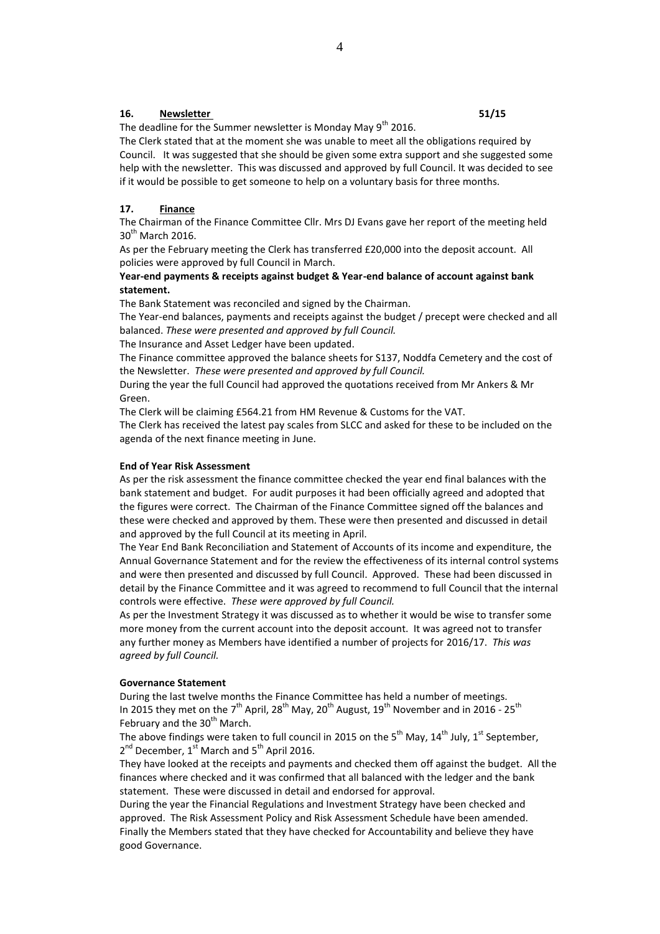#### **16. Newsletter 51/15**

The deadline for the Summer newsletter is Monday May  $9<sup>th</sup>$  2016.

The Clerk stated that at the moment she was unable to meet all the obligations required by Council. It was suggested that she should be given some extra support and she suggested some help with the newsletter. This was discussed and approved by full Council. It was decided to see if it would be possible to get someone to help on a voluntary basis for three months.

#### **17. Finance**

The Chairman of the Finance Committee Cllr. Mrs DJ Evans gave her report of the meeting held 30<sup>th</sup> March 2016.

As per the February meeting the Clerk has transferred £20,000 into the deposit account. All policies were approved by full Council in March.

## **Year-end payments & receipts against budget & Year-end balance of account against bank statement.**

The Bank Statement was reconciled and signed by the Chairman.

The Year-end balances, payments and receipts against the budget / precept were checked and all balanced. *These were presented and approved by full Council.*

The Insurance and Asset Ledger have been updated.

The Finance committee approved the balance sheets for S137, Noddfa Cemetery and the cost of the Newsletter. *These were presented and approved by full Council.*

During the year the full Council had approved the quotations received from Mr Ankers & Mr Green.

The Clerk will be claiming £564.21 from HM Revenue & Customs for the VAT.

The Clerk has received the latest pay scales from SLCC and asked for these to be included on the agenda of the next finance meeting in June.

#### **End of Year Risk Assessment**

As per the risk assessment the finance committee checked the year end final balances with the bank statement and budget. For audit purposes it had been officially agreed and adopted that the figures were correct. The Chairman of the Finance Committee signed off the balances and these were checked and approved by them. These were then presented and discussed in detail and approved by the full Council at its meeting in April.

The Year End Bank Reconciliation and Statement of Accounts of its income and expenditure, the Annual Governance Statement and for the review the effectiveness of its internal control systems and were then presented and discussed by full Council. Approved. These had been discussed in detail by the Finance Committee and it was agreed to recommend to full Council that the internal controls were effective. *These were approved by full Council.*

As per the Investment Strategy it was discussed as to whether it would be wise to transfer some more money from the current account into the deposit account. It was agreed not to transfer any further money as Members have identified a number of projects for 2016/17. *This was agreed by full Council.*

#### **Governance Statement**

During the last twelve months the Finance Committee has held a number of meetings. In 2015 they met on the 7<sup>th</sup> April, 28<sup>th</sup> May, 20<sup>th</sup> August, 19<sup>th</sup> November and in 2016 - 25<sup>th</sup> February and the 30<sup>th</sup> March.

The above findings were taken to full council in 2015 on the 5<sup>th</sup> May, 14<sup>th</sup> July, 1<sup>st</sup> September, 2<sup>nd</sup> December, 1<sup>st</sup> March and 5<sup>th</sup> April 2016.

They have looked at the receipts and payments and checked them off against the budget. All the finances where checked and it was confirmed that all balanced with the ledger and the bank statement. These were discussed in detail and endorsed for approval.

During the year the Financial Regulations and Investment Strategy have been checked and approved. The Risk Assessment Policy and Risk Assessment Schedule have been amended. Finally the Members stated that they have checked for Accountability and believe they have good Governance.